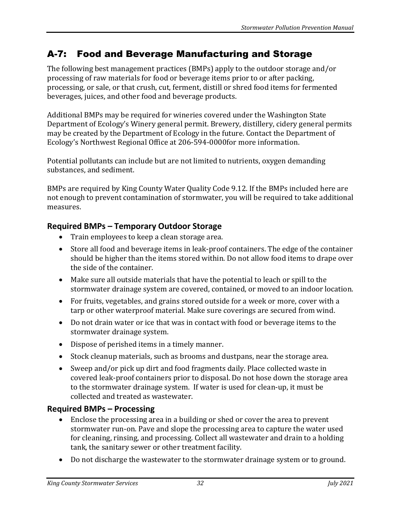# A-7: Food and Beverage Manufacturing and Storage

The following best management practices (BMPs) apply to the outdoor storage and/or processing of raw materials for food or beverage items prior to or after packing, processing, or sale, or that crush, cut, ferment, distill or shred food items for fermented beverages, juices, and other food and beverage products.

Additional BMPs may be required for wineries covered under the Washington State Department of Ecology's Winery general permit. Brewery, distillery, cidery general permits may be created by the Department of Ecology in the future. Contact the Department of Ecology's Northwest Regional Office at 206-594-0000for more information.

Potential pollutants can include but are not limited to nutrients, oxygen demanding substances, and sediment.

BMPs are required by King County Water Quality Code 9.12. If the BMPs included here are not enough to prevent contamination of stormwater, you will be required to take additional measures.

## **Required BMPs – Temporary Outdoor Storage**

- Train employees to keep a clean storage area.
- Store all food and beverage items in leak-proof containers. The edge of the container should be higher than the items stored within. Do not allow food items to drape over the side of the container.
- Make sure all outside materials that have the potential to leach or spill to the stormwater drainage system are covered, contained, or moved to an indoor location.
- For fruits, vegetables, and grains stored outside for a week or more, cover with a tarp or other waterproof material. Make sure coverings are secured from wind.
- Do not drain water or ice that was in contact with food or beverage items to the stormwater drainage system.
- Dispose of perished items in a timely manner.
- Stock cleanup materials, such as brooms and dustpans, near the storage area.
- Sweep and/or pick up dirt and food fragments daily. Place collected waste in covered leak-proof containers prior to disposal. Do not hose down the storage area to the stormwater drainage system. If water is used for clean-up, it must be collected and treated as wastewater.

### **Required BMPs – Processing**

- Enclose the processing area in a building or shed or cover the area to prevent stormwater run-on. Pave and slope the processing area to capture the water used for cleaning, rinsing, and processing. Collect all wastewater and drain to a holding tank, the sanitary sewer or other treatment facility.
- Do not discharge the wastewater to the stormwater drainage system or to ground.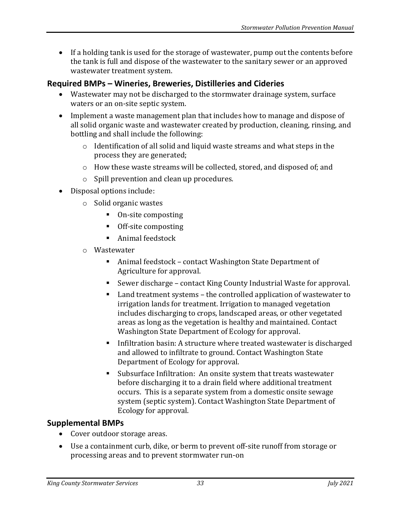• If a holding tank is used for the storage of wastewater, pump out the contents before the tank is full and dispose of the wastewater to the sanitary sewer or an approved wastewater treatment system.

## **Required BMPs – Wineries, Breweries, Distilleries and Cideries**

- Wastewater may not be discharged to the stormwater drainage system, surface waters or an on-site septic system.
- Implement a waste management plan that includes how to manage and dispose of all solid organic waste and wastewater created by production, cleaning, rinsing, and bottling and shall include the following:
	- o Identification of all solid and liquid waste streams and what steps in the process they are generated;
	- $\circ$  How these waste streams will be collected, stored, and disposed of; and
	- o Spill prevention and clean up procedures.
- Disposal options include:
	- o Solid organic wastes
		- On-site composting
		- Off-site composting
		- Animal feedstock
	- o Wastewater
		- Animal feedstock contact Washington State Department of Agriculture for approval.
		- Sewer discharge contact King County Industrial Waste for approval.
		- Land treatment systems the controlled application of wastewater to irrigation lands for treatment. Irrigation to managed vegetation includes discharging to crops, landscaped areas, or other vegetated areas as long as the vegetation is healthy and maintained. Contact Washington State Department of Ecology for approval.
		- Infiltration basin: A structure where treated wastewater is discharged and allowed to infiltrate to ground. Contact Washington State Department of Ecology for approval.
		- Subsurface Infiltration: An onsite system that treats wastewater before discharging it to a drain field where additional treatment occurs. This is a separate system from a domestic onsite sewage system (septic system). Contact Washington State Department of Ecology for approval.

### **Supplemental BMPs**

- Cover outdoor storage areas.
- Use a containment curb, dike, or berm to prevent off-site runoff from storage or processing areas and to prevent stormwater run-on